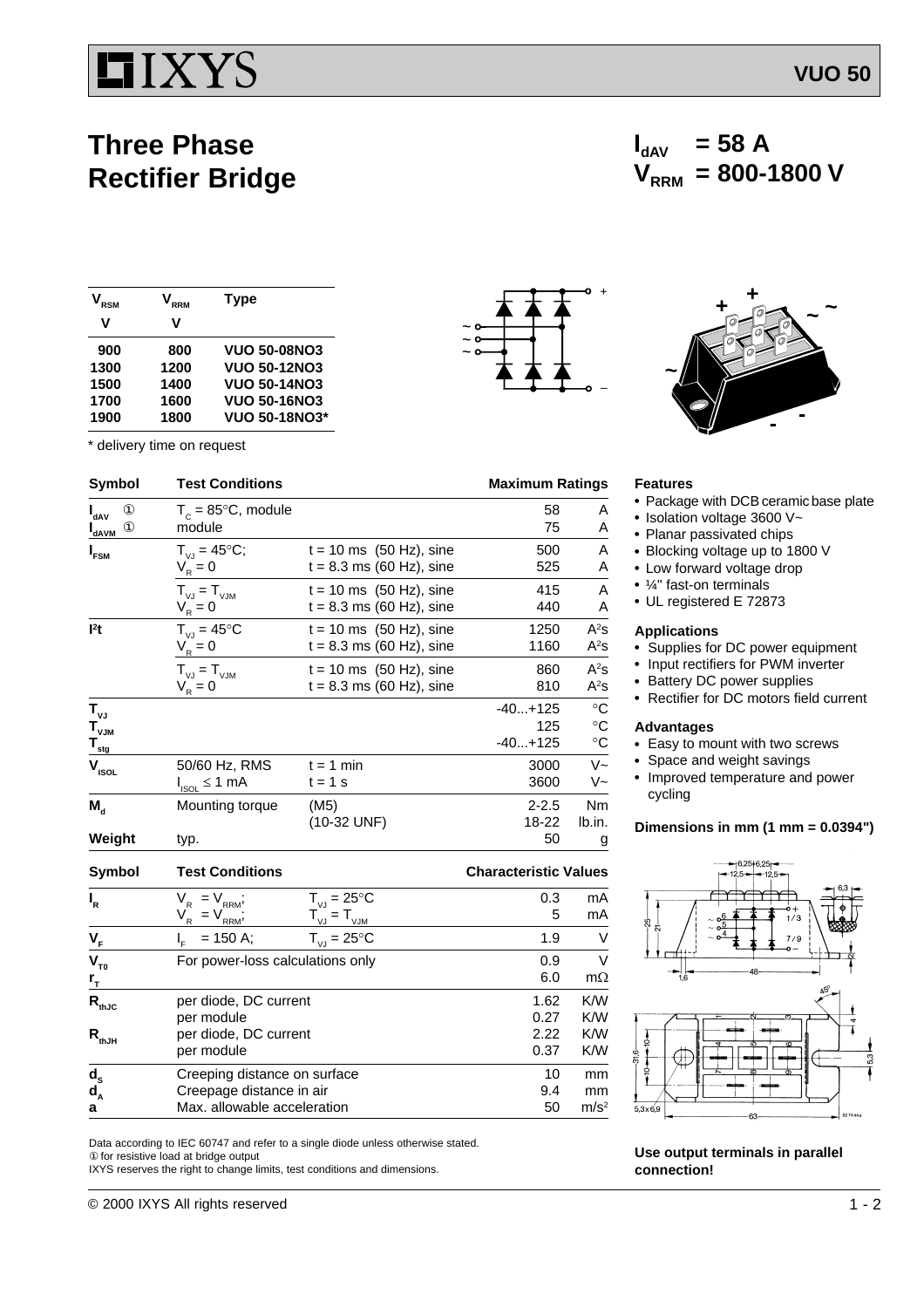## IIXYS

### **Three Phase Rectifier Bridge**

| <b>RSM</b> | <b>RRM</b> | <b>Type</b>          |  |
|------------|------------|----------------------|--|
| v          | v          |                      |  |
| 900        | 800        | <b>VUO 50-08NO3</b>  |  |
| 1300       | 1200       | <b>VUO 50-12NO3</b>  |  |
| 1500       | 1400       | <b>VUO 50-14NO3</b>  |  |
| 1700       | 1600       | <b>VUO 50-16NO3</b>  |  |
| 1900       | 1800       | <b>VUO 50-18NO3*</b> |  |

|                                                                             | * delivery time on request             |                                                           |                               |                                                             |
|-----------------------------------------------------------------------------|----------------------------------------|-----------------------------------------------------------|-------------------------------|-------------------------------------------------------------|
| Symbol                                                                      | <b>Test Conditions</b>                 |                                                           | <b>Maximum Ratings</b>        |                                                             |
| $\circled{1}$<br>l <sub>dAV</sub><br>$^{\circ}$<br><b>I</b> <sub>dAVM</sub> | $T_c = 85^{\circ}$ C, module<br>module |                                                           | 58<br>75                      | A<br>Α                                                      |
| I <sub>FSM</sub>                                                            | $T_{V,1} = 45^{\circ}C;$<br>$V_R = 0$  | $t = 10$ ms $(50$ Hz), sine<br>$t = 8.3$ ms (60 Hz), sine | 500<br>525                    | A<br>A                                                      |
|                                                                             | $T_{V,I} = T_{VJM}$<br>$V_R = 0$       | $t = 10$ ms $(50$ Hz), sine<br>$t = 8.3$ ms (60 Hz), sine | 415<br>440                    | A<br>Α                                                      |
| 1 <sup>2</sup> t                                                            | $T_{VJ} = 45^{\circ}C$<br>$V_R = 0$    | $t = 10$ ms $(50$ Hz), sine<br>$t = 8.3$ ms (60 Hz), sine | 1250<br>1160                  | $A^2S$<br>$A^2s$                                            |
|                                                                             | $T_{VJ} = T_{VJM}$<br>$V_{R} = 0$      | $t = 10$ ms $(50$ Hz), sine<br>$t = 8.3$ ms (60 Hz), sine | 860<br>810                    | $A^2S$<br>$A^2s$                                            |
| $T_{\nu J}$<br>$T_{\rm vJM}$<br>$T_{\frac{\text{stg}}{\text{}}$             |                                        |                                                           | $-40+125$<br>125<br>$-40+125$ | $^\circ \text{C}$<br>$^\circ \text{C}$<br>$^\circ \text{C}$ |
| $V_{ISOL}$                                                                  | 50/60 Hz, RMS<br>$I_{ISOL} \leq 1$ mA  | $t = 1$ min<br>$t = 1$ s                                  | 3000<br>3600                  | $V -$<br>V~                                                 |
| $M_{\rm d}$                                                                 | Mounting torque                        | (M5)<br>(10-32 UNF)                                       | $2 - 2.5$<br>18-22            | Nm<br>lb.in.                                                |
| Weight                                                                      | typ.                                   |                                                           | 50                            | g                                                           |

**Symbol Test Conditions Characteristic Values**

| $\mathbf{l}_{\mathsf{R}}$  | $T_{VJ} = 25^{\circ}C$<br>$V_{_{\sf RRM}}^{},$<br>$=$         | 0.3  | mA               |
|----------------------------|---------------------------------------------------------------|------|------------------|
|                            | $= T_{\underline{v} \underline{v}}$<br>$V_R$<br>$= V$<br>RRM' | 5    | mA               |
| $V_F$                      | $T_{V,I} = 25^{\circ}C$<br>$= 150$ A;                         | 1.9  | V                |
| $V_{T0}$                   | For power-loss calculations only                              | 0.9  | V                |
| r <sub>T</sub>             |                                                               | 6.0  | $m\Omega$        |
| $\mathsf{R}_{\text{thJC}}$ | per diode, DC current                                         | 1.62 | K/W              |
|                            | per module                                                    | 0.27 | K/W              |
| $\mathsf{R}_{\text{thJH}}$ | per diode, DC current                                         | 2.22 | K/W              |
|                            | per module                                                    | 0.37 | K/W              |
| $\frac{d_s}{d_A}$          | Creeping distance on surface                                  | 10   | mm               |
|                            | Creepage distance in air                                      | 9.4  | mm               |
| a                          | Max. allowable acceleration                                   | 50   | m/s <sup>2</sup> |

Data according to IEC 60747 and refer to a single diode unless otherwise stated. ① for resistive load at bridge output

IXYS reserves the right to change limits, test conditions and dimensions.



# **+ <sup>+</sup> <sup>~</sup> <sup>~</sup>**

 $V_{RRM}$  = 800-1800 V

 $I_{\text{dAV}}$  = 58 A

#### **Features**

**~**

• Package with DCB ceramic base plate

**- -**

- $\cdot$  Isolation voltage 3600 V~
- Planar passivated chips
- Blocking voltage up to 1800 V
- Low forward voltage drop
- $\cdot$   $\frac{1}{4}$ " fast-on terminals
- UL registered E 72873

#### **Applications**

- Supplies for DC power equipment
- Input rectifiers for PWM inverter
- Battery DC power supplies
- Rectifier for DC motors field current

#### **Advantages**

- Easy to mount with two screws
- Space and weight savings
- Improved temperature and power cycling

#### **Dimensions in mm (1 mm = 0.0394")**



**Use output terminals in parallel connection!**